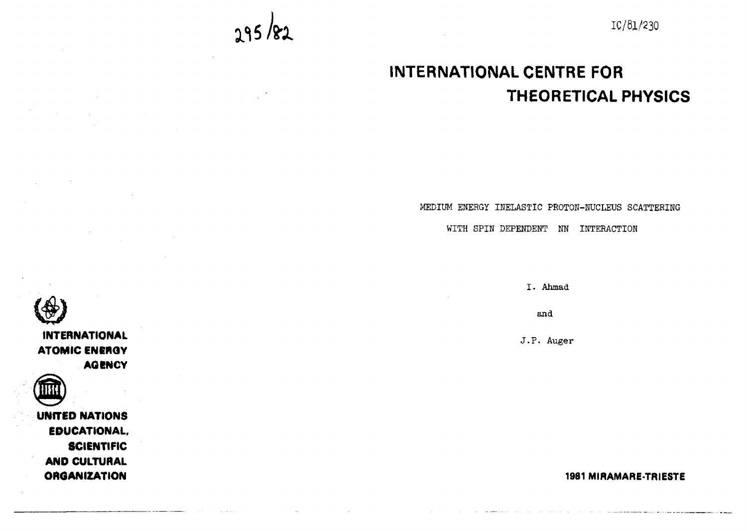IC/81/230

# 295/82

# **INTERNATIONAL CENTRE FOR THEORETICAL PHYSICS**

MEDIUM ENERGY INELASTIC PROTON-NUCLEUS SCATTERING

WITH SPIN DEPENDENT NN INTERACTION

I. Ahmad

and

J.P. Auger

**ORGANIZATION** 1981 MIRAMARE-TRIESTE



**INTERNATIONAL ATOMIC ENERGY AGENCY** 



**UNITED NATIONS EDUCATIONAL, SCIENTIFIC AND CULTURAL**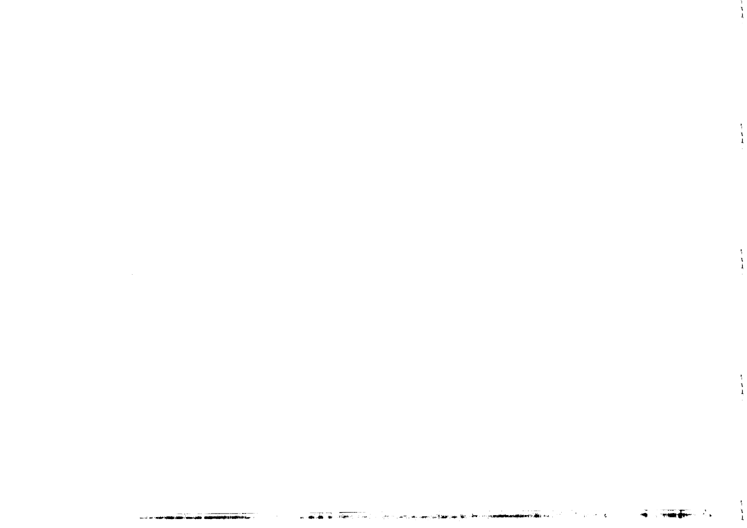.<br>1980 – Andre Marie Marie Marie **John Management Column** 

ήų,  $\omega$  and  $\psi$   $\frac{1}{4}$ 

A.  $\mathbf{I}$ 

 $\Lambda$  $\frac{1}{4}$ 

÷  $\frac{1}{1}$ 

 $\Lambda$ 

 $\frac{1}{4}$ 

 $\frac{1}{\sqrt{2}}\left( \begin{array}{ccccc} \frac{1}{\sqrt{2}} & \frac{1}{\sqrt{2}} & \frac{1}{\sqrt{2}} & \frac{1}{\sqrt{2}} & \frac{1}{\sqrt{2}} & \frac{1}{\sqrt{2}} & \frac{1}{\sqrt{2}} & \frac{1}{\sqrt{2}} & \frac{1}{\sqrt{2}} & \frac{1}{\sqrt{2}} & \frac{1}{\sqrt{2}} & \frac{1}{\sqrt{2}} & \frac{1}{\sqrt{2}} & \frac{1}{\sqrt{2}} & \frac{1}{\sqrt{2}} & \frac{1}{\sqrt{2}} & \frac{1}{\sqrt{2}} & \frac{1}{\sqrt{2}} & \$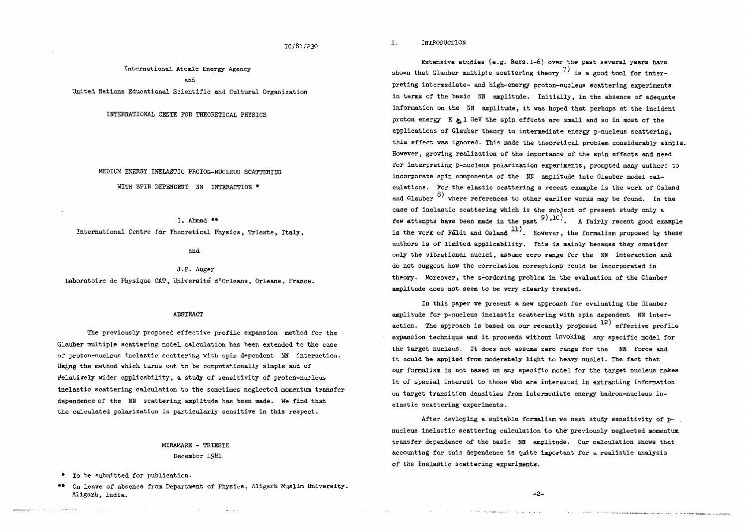### IC/81/230

International Atomic Energy Agency and

United Nations Educational Scientific and Cultural Organization

INTERNATIONAL CENTS FOE THEORETICAL PHYSICS

MEDIUM ENERGY INELASTIC PROTOH-NUCLEUS SCATTERING

WITH SPIN DEPENDENT NN INTERACTION \*

I. Ahmad \*\* International Centre for Theoretical Physios, Trieste, Italy,

and

J.P. Auger Laboratoire de Physique CAT, Universite d'Orleans, Orleans, France.

### ABSTRACT

The previously proposed effective profile expansion method for the Glauber multiple scattering model calculation has teen extended to the case of proton-nucleus inelastic scattering with spin dependent NN Interactioa. Using the method which turns out to be computationally simple and of Relatively wider applicability, a study of sensitivity of proton-nucleus inelastic scattering calculation to the sometimes neglected momentum transfer dependence of the NN scattering amplitude has been made. We find that the calculated polarization is particularly sensitive in this respect.

# MIRAMARE - TRIESTE December 1981

To be submitted for publication.

\*• On leave of absence from Department of Physics, Aligarh Muslim University-Aligarh, India.

I. INTRODUCTION

Extensive studies  $(e, g, \text{Refs.1-6})$  over the past several years have shown that Glauber multiple scattering theory  $\binom{7}{1}$  is a good tool for interpreting intermediate- and high-energy proton-nucleus scattering experiments  $p = \frac{p}{2}$ in terms of the basic HN amplitude. Initially, in the absence of adequate information on the NN amplitude, it was hoped that perhaps at the incident proton energy  $E \ge 1$  GeV the spin effects are small and so in most of the applications of Glauber theory to intermediate energy p-nucleus scattering, this effect was ignored. This made the theoretical problem considerably simple. Hovever, growing realization of the importance of the spin effects and need for interpreting p-nucleus polarization experiments, prompted many authors to incorporate spin components of the NN amplitude into Glauber model cal-<br>culations. For the elastic scattering a recent example is the work of Osland and Glauber  $\delta$ ) where references to other earlier works may be found. In the case of inelastic scattering which is the subject of present study only a few attempts have been made in the past  $(9)$ , 10). A fairly recent good example few attempts have been made in the past . A fairly recent good example is the work of Faldt and Osland . However, the formalism proposed by these authors is of limited applicability. This is mainly because they consider only the vibrational nuclei, assume zero range for the KN interaction and do not suggest how the correlation corrections could be incorporated in theory- Moreover, the z-ordering problem in the evaluation of the Glauber amplitude does not seem to be very clearly treated.

In this paper we present a new approach for evaluating the Glauber amplitude for p-nucleus inelastic scattering with spin dependent NN interaction. The approach is based on our recently proposed  $^{12)}$  effective profile expansion technique and it proceeds without invoking any specific model for the target nucleus. It does not assume zero range for the NN force and it could be applied from moderately light to heavy nuclei. The fact that our formalism is not based on any specific model for the target nucleus makes it of special interest to those who are interested in extracting information on target transition densities from intermediate energy hadron-nucleus inelastic scattering experiments.

After devloping a suitable formalism we next study sensitivity of  $p$ nucleus inelastic scattering calculation to the previously neglected momentum transfer dependence of the basic NN amplitude. Our calculation shows that accounting for this dependence Is quite important for a realistic analysis of the inelastic scattering experiments.

-2-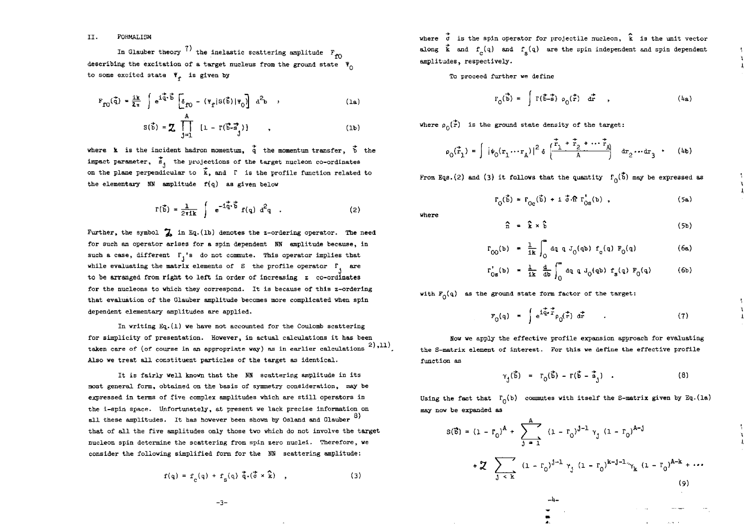II. FORMALISM

In Glauber theory <sup>7)</sup> the inelastic scattering amplitude  $F_{\phi_0}$ describing the excitation of a target nucleus from the ground state  $\Psi_0$ to some excited state  $\Psi_{\phi}$  is given by

$$
F_{f0}(\vec{q}) = \frac{i\kappa}{2\pi} \int e^{i\vec{q} \cdot \vec{b}} \left[ \delta_{f0} - (\Psi_f | S(\vec{b}) | \Psi_0) \right] d^2b \qquad (1a)
$$
  

$$
S(\vec{b}) = \mathbf{Z} \prod_{j=1}^{A} [1 - r(\vec{b} \cdot \vec{s}_j)] \qquad (1b)
$$

3=1

where k is the incident hadron momentum,  $\dot{q}$  the momentum transfer,  $\dot{b}$  the impact parameter,  $\dot{s}_1$  the projections of the target nucleon co-ordinates on the plane perpendicular to  $\vec{k}$ , and  $\vec{l}$  is the profile function related to the elementary NN amplitude  $f(q)$  as given below

$$
\Gamma(\vec{b}) = \frac{1}{2\pi i k} \int e^{-i\vec{q}\cdot\vec{b}} f(q) d^2q . \qquad (2)
$$

Further, the symbol  $\sum$  in Eq.(1b) denotes the z-ordering operator. The need for such an operator arises for a spin dependent NN amplitude because, in such a case, different  $\Gamma_i$ 's do not commute. This operator implies that while evaluating the matrix elements of  $S$  the profile operator  $\Gamma$ , are **J** to be arranged from right to left in order of increasing *z* co-ordinates for the nucleons to which they correspond. It is because of this z-ordering that evaluation of the Glauber amplitude becomes more complicated when spin dependent elementary amplitudes are applied.

In writing  $Eq.(1)$  we have not accounted for the Coulomb scattering for simplicity of presentation. However, in actual calculations it has been taken care of (of course in an appropriate way) as in earlier calculations  $(2)$ , 11) Also we treat all constituent particles of the target as identical.

It is fairly veil known that the NN scattering amplitude in its most general form, obtained on the basis of symmetry consideration, may be expressed in terms of five complex amplitudes vhich are still operators in the i-spin space. Unfortunately, at present we lack precise information on all these amplitudes. It has however been shown by Osland and Glauber  $\delta$ ) that of all the five amplitudes only those two which do not involve the target nucleon spin determine the scattering from spin zero nuclei. Therefore, we consider the following simplified form for the NN scattering amplitude:

$$
f(q) = f_c(q) + f_s(q) \, \vec{q} \cdot (\vec{\sigma} \times \hat{k}) \quad , \tag{3}
$$

where  $\overrightarrow{a}$  is the spin operator for projectile nucleon,  $\hat{k}$  is the unit vector along  $\vec{k}$  and  $f_c(q)$  and  $f_c(q)$  are the spin independent and spin dependent amplitudes, respectively.

To proceed further we define

$$
\Gamma_0(\vec{b}) = \int \Gamma(\vec{b} - \vec{s}) \rho_0(\vec{r}) d\vec{r} , \qquad (4a)
$$

where  $\rho_0(\vec{r})$  is the ground state density of the target:

$$
\rho_0(\vec{r}_1) = \int |\psi_0(r_1 \cdots r_A)|^2 \delta \left( \frac{\vec{r}_1 + \vec{r}_2 + \cdots + \vec{r}_A}{A} \right) dr_2 \cdots dr_3
$$
 (4b)

From Eqs.(2) and (3) it follows that the quantity  $\Gamma_0(\vec{b})$  may be expressed as

$$
\Gamma_0(\vec{b}) = \Gamma_{0c}(\vec{b}) + i \vec{\sigma} \cdot \hat{R} \Gamma_{0s}^{\dagger}(b) , \qquad (5a)
$$

where

$$
\hat{n} = \hat{k} \times \hat{b} \tag{5b}
$$

$$
\Gamma_{00}(b) = \frac{1}{ik} \int_0^a dq q J_0(qb) f_c(q) F_0(q)
$$
 (6a)

$$
\Gamma_{\rm{Og}}^{'}(b) = \frac{1}{1k} \frac{d}{db} \int_{0}^{\infty} dq \ q \ J_{0}(qb) \ r_{g}(q) \ F_{0}(q) \tag{6b}
$$

with  $F_{\Omega}(q)$  as the ground state form factor of the target:

$$
F_0(q) = \int e^{i\frac{1}{q}\cdot\frac{1}{r}} \rho_0(\vec{r}) d\vec{r}
$$
 (7)

Bow we apply the effective profile expansion approach for evaluating the S-matrix element of interest. For this we define the effective profile function as

$$
\gamma_j(\vec{b}) = r_0(\vec{b}) - r(\vec{b} - \vec{a}_j) . \qquad (8)
$$

Using the fact that  $\Gamma^{\text{(b)}}$  commutes with itself the S-matrix given by Eq.(1a) may now be expanded as

$$
s(\vec{b}) = (1 - r_0)^A + \sum_{j=1}^{A} (1 - r_0)^{j-1} \gamma_j (1 - r_0)^{A-j}
$$
  
+ 
$$
\sum_{j \le k} (1 - r_0)^{j-1} \gamma_j (1 - r_0)^{k-j-1} \gamma_k (1 - r_0)^{A-k} + \cdots
$$
  
(9)

**- 3 -**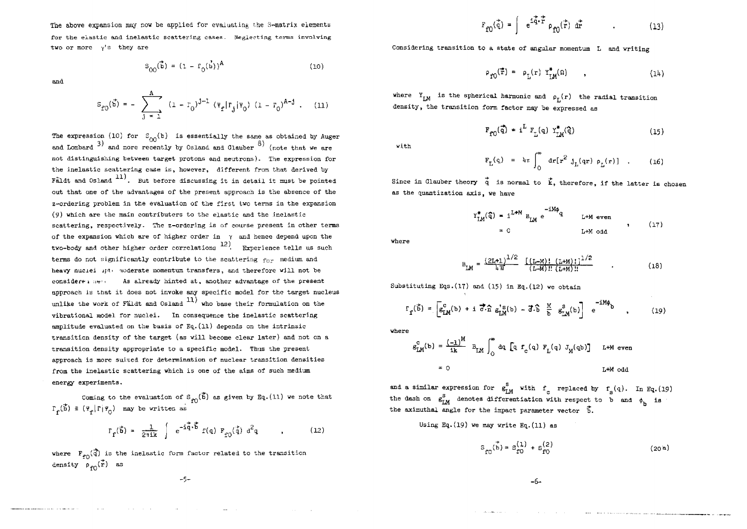The above expansion may now be applied for evaluating the S-matrix elements **for** the elastic **and** inelastic scattering cases. Neglecting terms involving two or more  $\gamma$ 's they are

$$
S_{00}(\vec{b}) = (1 - r_0(\vec{b}))^A
$$
 (10)

and

$$
S_{f0}(\vec{b}) = -\sum_{j=1}^{A} (1 - r_0)^{j-1} (v_f|r_j|v_0) (1 - r_0)^{A-j} . \quad (11)
$$

The expression (10) for  $S_{00}(b)$  is essentially the same as obtained by Auger 3) and more recently by Osland and Glauber  $8$ ) not distinguishing between target protons and neutrons). The expression for the inelastic scattering case is, however, different from that derived by Fäldt and Osland  $11$ ). But before discussing it in detail it must be pointed out that one of the advantages of the present approach is the absence of the z-ordering problem in the evaluation of the first two terms in the expansion  $(9)$  which are the main contributers to the elastic and the inelastic scattering, respectively. The z-ordering is of course present in other terms of the expansion which are of higher order in  $\gamma$  and hence depend upon the two-body and other higher order correlations  $^{12)}$ . Experience tells us such two-body and other higher order correlations • Experience tells us such terms do not significantly contribute to the scattering  $_{\rm for}$  medium and heavy nuclei upto moderate momentum transfers, and therefore will not be considers i : ... As already hinted at, another advantage of the present<br>approach is that it does not invoke any specific model for the target nucleus approach is that it does not invoke any specific model for the target nucleus unlike the work of Faldt and Osland who base their formulation on the vibrational model for nuclei. In consequence the inelastic scattering amplitude evaluated on the basis of  $Eq. (11)$  depends on the intrinsic transition density of the target (as will become clear later) and not on a transition density appropriate to a specific model. Thus the present approach is more suixed for determination of nuclear transition densities from the inelastic scattering which is one of the aims of such medium energy experiments.

Coming to the evaluation of  $S_{f0}(\vec{b})$  as given by Eq. (11) we note that  $\Gamma_{\alpha}(\vec{b}) \equiv (\Psi_{\alpha}|\Gamma|\Psi_{\alpha})$  may be written as

$$
\Gamma_f(\vec{b}) = \frac{1}{2\pi i k} \int e^{-i\vec{q}\cdot\vec{b}} f(q) F_{f0}(\vec{q}) d^2q
$$
, (12)

where  $\mathbb{F}_{\epsilon_0}(\vec{q})$  is the inelastic form factor related to the transition density  $\rho_{\rm f0}(\vec{r})$  as

$$
\mathbf{F}_{\mathbf{f0}}(\vec{\mathbf{q}}) = \int e^{i\vec{\mathbf{q}} \cdot \vec{\mathbf{r}}} \rho_{\mathbf{f0}}(\vec{\mathbf{r}}) d\vec{\mathbf{r}} \qquad (13)
$$

Considering transition to a state of angular momentum L and writing

$$
\rho_{\uparrow 0}(\vec{\hat{r}}) = \rho_{\tilde{L}}(r) Y_{\tilde{L}M}^*(\Omega) , \qquad , \qquad (14)
$$

**where**  $\mathbf{Y}_{\text{LM}}$  is the spherical harmonic and  $\rho_{\text{L}}(\mathbf{r})$  the radial transition density, the transition form factor may be expressed as

$$
F_{f0}(\vec{q}) = i^L F_L(q) Y_{LM}^*(\vec{q})
$$
 (15)

**with**

$$
F_{L}(q) = \mu_{E} \int_{0}^{\infty} dr[r^{2} J_{L}(qr) \rho_{L}(r)] \quad . \tag{16}
$$

Since in Glauber theory  $\dot{q}$  is normal to  $\dot{k}$ , therefore, if the latter is chosen **as the quantization axis, we have**

$$
Y_{LM}^*(\widehat{q}) = i^{L*M} B_{LM} e^{-iM\phi} q \qquad L+M \text{ even} \qquad , \qquad (17)
$$
  
= 0 \qquad L+M \text{ odd}

**where**

$$
B_{LM} = \frac{(2L+1)^{1/2}}{4\pi} \frac{\left[ (L-M)! \left( (L+M)! \right]^{1/2}}{(L-M)!! \left( (L+M)!!} \right) \right] \tag{18}
$$

**Substituting Eqs.(l7 } and (15) in Eq.(12) we obtain**

$$
\Gamma_f(\vec{b}) = \left[ \varepsilon_{LM}^c(b) + i \overrightarrow{\sigma} \hat{n} \varepsilon_{LM}^{'s}(b) - \overrightarrow{\sigma} \hat{b} \frac{M}{b} \varepsilon_{LM}^s(b) \right] e^{-iM\phi} b \qquad (19)
$$

**where**

$$
g_{LM}^{c}(b) = \frac{(-1)^{M}}{ik} B_{LM} \int_{0}^{\infty} dq \left[ q r_{c}(q) F_{L}(q) J_{M}(qb) \right] \quad L+M \text{ even}
$$
  
= 0

and a similar expression for  $g_{TM}^S$  with f replaced by f  $(q)$ . In Eq. (19) the dash on  $g_M^B$  denotes differentiation with respect to b and  $\phi_b$  is<br>the aximuthel angle for the invest neuration on the  $\vec{r}$ the aximuthal angle for the impact parameter vector  $\vec{b}$ .

-6-

Using Eq.(19) we may write  $Eq.(11)$  as

$$
S_{f0}(\vec{b}) = S_{f0}^{(1)} + S_{f0}^{(2)}
$$
 (20a)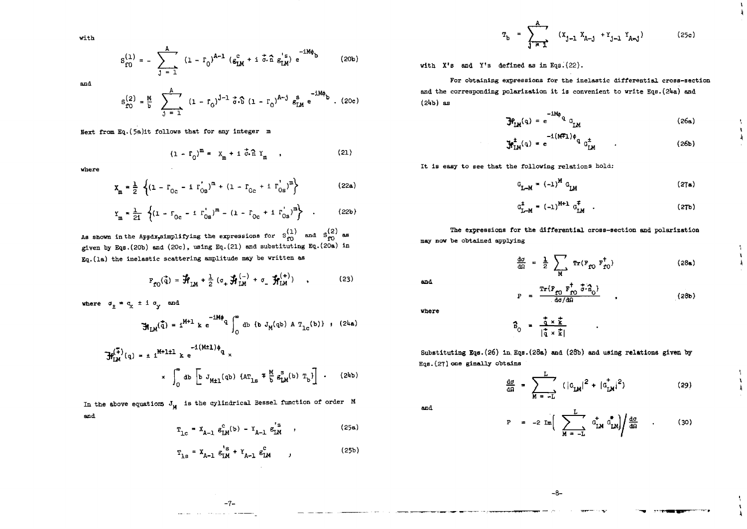with

$$
s_{f0}^{(1)} = -\sum_{J=1}^{A} (1 - r_0)^{A-1} (g_{IM}^c + i \stackrel{\rightarrow}{\sigma} \hat{n} g_{IM}^{l_S}) e^{-iM\phi_D}
$$
 (20b)

and

$$
s_{f0}^{(2)} = \frac{M}{b} \sum_{j=1}^{A} (1 - r_0)^{j-1} \vec{\sigma} \cdot \hat{b} (1 - r_0)^{A-j} s_{LM}^{s} e^{-iM\phi}.
$$
 (20c)

Mext from Eq,.(5a)it follows that for any integer m

$$
(1 - r_0)^m = x_m + 1 \, \vec{\sigma} \cdot \hat{n} \, x_m \quad , \tag{21}
$$

where

$$
X_{m} = \frac{1}{2} \left\{ (1 - \Gamma_{0c} - 1 \Gamma_{0s})^{m} + (1 - \Gamma_{0c} + 1 \Gamma_{0s})^{m} \right\}
$$
 (22a)

$$
Y_{m} = \frac{1}{21} \left\{ (1 - \Gamma_{0c} - 1 \Gamma_{0g}^{'})^{m} - (1 - \Gamma_{0c} + 1 \Gamma_{0s}^{'})^{m} \right\} \quad . \tag{22b}
$$

As shown in the Appdr<sub>i</sub>simplifying the expressions for  $S_{f0}^{11}$  and  $S_{f0}^{12}$  as **given "by Eqs.(2Ob) and (20c), using Eq.. (21) and aubatitutlng Eq.(20a) in Eq.(la) the inelastic scattering amplitude may be written aa**

$$
F_{f0}(\vec{q}) = \frac{4}{3} \int_{LM} + \frac{1}{2} ( \sigma_+ \frac{4}{3} \int_{LM}^{(-)} + \sigma_- \frac{4}{3} \int_{LM}^{(+)} , \qquad (23)
$$

where  $d_+ = q_t \pm i d_v$  and

$$
\mathbf{H}_{LM}(\vec{q}) = i^{M+1} k e^{-iM\phi} q \int_0^{\infty} db \{b J_M(qb) A T_{1c}(b)\} , (2ka)
$$

$$
\mathbf{H}_{LM}^{(\mp)}(q) = \pm i^{M+1\pm 1} k e^{-t(M\pm 1)\phi} q \times \int_0^{\infty} ab \left[ b J_{ML}(qb) \left( AT_{ls} \mp \frac{M}{b} \epsilon_{LM}^B(b) T_b \right) \right] \cdot (24b)
$$

In the above equations  $J_{\text{M}}^{\text{}}$  is the cylindrical Bessel function of order  $\,$  M and

**- 7-**

$$
T_{1c} = X_{A-1} g_{LM}^{c}(b) - Y_{A-1} g_{LM}^{s} \t (25a)
$$

$$
T_{1s} = X_{A-1} g_{LM}^{1s} + Y_{A-1} g_{LM}^{c} , \qquad (25b)
$$

$$
T_b = \sum_{j=1}^{A} (x_{j-1} x_{A-j} + x_{j-1} x_{A-j})
$$
 (25c)

with  $X'$ s and  $Y'$ s defined as in Eqs.  $(22)$ .

For obtaining expresaiona for the inelastic differential cross-section and the corresponding polarization it is convenient to write Eqs.  $(24a)$  and (2l»b) as

$$
\mathbf{Jf}_{IM}(q) = e^{-iM\phi} q_{IM}
$$
 (26a)

$$
\mathbf{J}_{\mathbf{I},\mathbf{M}}^{\mathbf{t}}(\mathbf{q}) = \mathbf{e}^{-\mathbf{1}(\mathbf{M}+\mathbf{I})\phi_{\mathbf{q}}}\mathbf{G}_{\mathbf{I},\mathbf{M}}^{\mathbf{t}} \tag{26b}
$$

It is easy to see that the following relations hold:

$$
c^{\text{I-M}} = (-1)^{\text{M}} c^{\text{IM}} \tag{27a}
$$

$$
G_{L-M}^{\ddagger} = (-1)^{M+1} G_{LM}^{\ddagger} \quad . \tag{27b}
$$

The expressions for the differential cross-section and polarization may now be obtained applying

$$
\frac{d\sigma}{d\Omega} = \frac{1}{2} \sum_{M} \operatorname{Tr}(\mathbf{F}_{fQ} \mathbf{F}_{fQ}^{\dagger})
$$
 (28a)

and

$$
P = \frac{\text{Tr}\{\bar{P}_{f0} \ \bar{P}_{r0}^{\dagger} \ \bar{\sigma} \ \hat{a}_0\}}{\text{d}\sigma/\text{d}\Omega} \qquad (28b)
$$

where

$$
\vec{B}_0 = \frac{\frac{1}{4} \times \vec{k}}{|\frac{1}{4} \times \vec{k}|}
$$

Substituting Eqa.(26) in. Eqs.(28a) and (28b) and using relations given by Eqs.(27) one ginally obtains

$$
\frac{d\Omega}{d\Omega} = \sum_{M = -L}^{L} (|c_{LM}|^2 + |c_{LM}^+|^2)
$$
 (29)

**and**

$$
P = -2 Im \left( \sum_{M= -L}^{L} \sigma_{LM}^{+} \sigma_{LM}^{*} \right) / \frac{d\sigma}{d\Omega} \qquad (30)
$$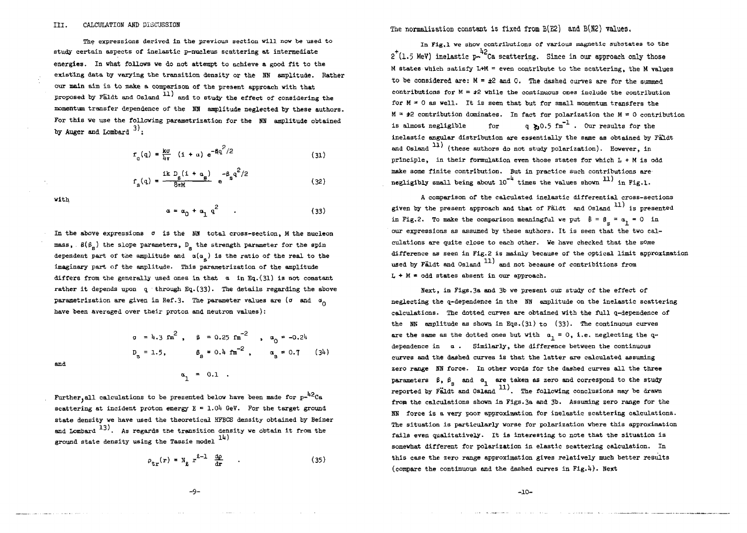The expressions derived In the previous section will now be used to study certain aspects of inelastic p-nucleus scattering at intermediate energies. In what follows we do not attempt to achieve a good fit to the existing data by varying the transition density or the NN amplitude. Rather our main aim is to make a comparison of the present approach with that proposed by Faldt and Osland  $\overline{11}$  and to study the effect of considering the momentum transfer dependence of the NN amplitude neglected by these authors. For this we use the following parametrization for the NN amplitude obtained by Auger and Lombard <sup>31</sup>:

$$
r_c(q) = \frac{k\sigma}{4\pi} (1 + \alpha) e^{-\beta q^2/2}
$$
 (31)

$$
f_{s}(q) = \frac{ik D_{s}(i + q_{s})}{8\pi M} e^{-\beta_{s}q^{2}/2}
$$
 (32)

with

$$
\alpha = \alpha_0 + \alpha_1 \, q^2 \tag{33}
$$

In the above expressions  $\sigma$  is the NM total cross-section, M the nucleon mass,  $B(\beta_g)$  the slope parameters,  $D_g$  the strength parameter for the spin dependent part of the amplitude and  $a(a_a)$  is the ratio of the real to the imaginary part of the amplitude. This parametrization of the amplitude differs from the generally used ones in that  $\alpha$  in Eq. (31) is not constant rather it depends upon q through Eq.  $(33)$ . The details regarding the above parametrization are given in Ref.3. The parameter values are ( $\sigma$  and  $\sigma$ have been averaged over their proton and neutron values):

$$
\sigma = 4.3 \text{ fm}^2, \quad \beta = 0.25 \text{ fm}^{-2}, \quad \alpha_0 = -0.24
$$
  

$$
D_s = 1.5, \quad \beta_s = 0.4 \text{ fm}^{-2}, \quad \alpha_s = 0.7 \quad (34)
$$
  

$$
\alpha_s = 0.1 \quad .
$$

and

Further, all calculations to be presented below have been made for  $p^{-4/2}$ Ca scattering at incident proton energy  $E = 1.04$  GeV. For the target ground state density we have used the theoretical HFBCS density obtained by Beiner and Lombard  $^{13)}$ . As regards the transition density we obtain it from the ground state density using the Tassie model  $14)$ 

$$
\rho_{\text{tr}}(r) = N_g r^{2-1} \frac{d\rho}{dr} \qquad (35)
$$

The normalization constant is fixed from  $B(E2)$  and  $B(N2)$  values.

In Fig.1 we show contributions of various magnetic substates to the  $2^+(1.5 \text{ MeV})$  inelastic  $p^2$ Ca scattering. Since in our approach only those M states which satisfy L+M = even contribute to the scattering. the M values to be considered are:  $M = \pm 2$  and C. The dashed curves are for the summed contributions for  $M = \pm 2$  while the continuous ones include the contribution for  $M = 0$  as well. It is seen that but for small momentum transfers the  $M = \pm 2$  contribution dominates. In fact for polarization the  $M = 0$  contribution is almost negligible for  $q \ge 0.5$  fm<sup>-1</sup>. Our results for the is almost negligible for inelastic angular distribution are essentially the same as obtained by Faldt and Osland  $(11)$  (these authors do not study polarization). However, in principle, in their formulation even those states for which L + H is odd make some finite contribution. But in practice such contributions are negligibly small being about  $10^{-k}$  times the values shown <sup>11)</sup> in Fig.1. negliglbiy small being about 10 times the values shown in Fig.l.

A comparison of the calculated inelastic differential cross-sections given by the present approach and that of Fäldt and Osland  $11$ ) is presented in Fig.2. To make the comparison meaningful we put  $\beta = \beta_1 = \alpha_1 = 0$  in our expressions as assumed by these authors. It is seen that the two calculations are quite close to each other. We have checked that the some difference as seen in Fig.2 is mainly because of the optical limit approximation used by Faldt and Osland  $\left( \begin{array}{cc} 11 \end{array} \right)$  and not because of contribitions from  $L + M =$  odd states absent in our approach.

Next, in Tigs.3a and 3b we present out study of the effect of neglecting the q-dependence in the NN amplitude on the inelastic scattering calculations. The dotted curves are obtained with the full q-dependence of the NN amplitude as shown in Eqs.(31) to (33). The continuous curves are the same as the dotted ones but with  $a_1 = 0$ , i.e. neglecting the qdependence in a. Similarly, the difference between the continuous curves and the dashed curves is that the latter are calculated assuming zero range HN force. In other words for the dashed curves all the three parameters  $\beta$ ,  $\beta_{\rm g}$  and  $\alpha_{\rm l}$  are taken as zero and correspond to the study<br>reported by Fäldt and Osland <sup>11)</sup>. The following conclusions may be drawn from the calculations shown in Figs.3a and 3b. Assuming zero range for the NN force is a very poor approximation for inelastic scattering calculations. The situation is particularly worse for polarization where this approximation fails even qualitatively. It is interesting to note that the situation is somewhat different for polarization in elastic scattering calculation. In this caae the zero range approximation gives relatively much better results (compare the continuous and the dashed curves in Fig.4). Next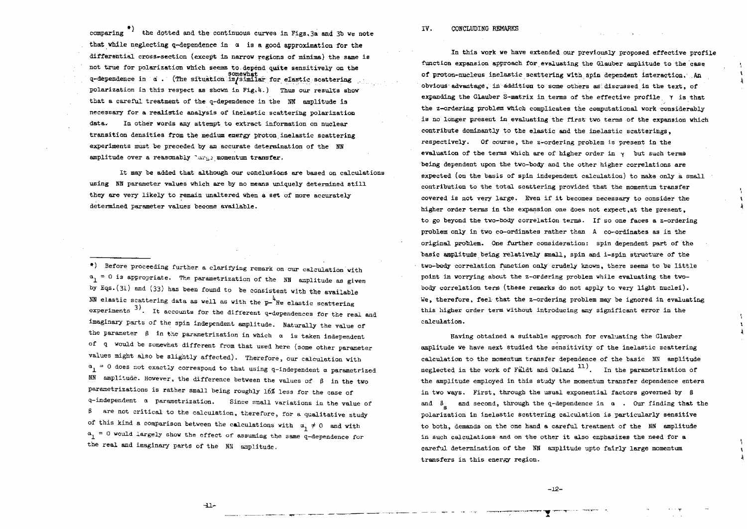comparing  $\overline{ }^{n\overline{ }}$  the dotted and the continuous curves in Figs.3a and 3b we note that while neglecting q-dependence in  $\alpha$  is a good approximation for the differential cross-section (except in narrow regions of minima) the same is not true for polarization which seems to.depend quite sensitively on the q-dependence in : a . (The situation is/ similar for elastic scattering ... polarization in this respect as shown in Fig.4.) Thus our results show that a careful treatment of the q-dependence in the NN amplitude is necessary for a realistic analysis of inelastic scattering polarization data. In other words any attempt to extract information on nuclear transition densities from the medium energy proton inelastic scattering experiments must be preceded by an accurate determination of the NN amplitude over a reasonably 'arg; momentum transfer.

It may be added that although our conclusions are based on calculations using BH parameter values which are by no means uniquely determined still they are very likely to remain unaltered when a set of more accurately determined parameter values become available.

\*) Before proceeding further a clarifying remark on our calculation with  $a_1 = 0$  is appropriate. The parametrization of the NN amplitude as given by Eqs.(3l) and (33) has been found to be consistent with the available *MI* elastic scattering data as well as with the  $p-\frac{1}{n}$  de elastic scattering experiments <sup>3)</sup>. It accounts for the different q-dependences for the real and imaginary parts of the spin independent amplitude. Naturally the value of the parameter  $\beta$  in the parametrization in which  $\alpha$  is taken independent of q would be somewhat different from that used here (some other parameter values might also be slightly affected). Therefore, our calculation with  $\alpha_1 = 0$  does not exactly correspond to that using q-independent  $\alpha$  parametrized MN amplitude. However, the difference between the values of  $\beta$  in the two parametrizations is rather small being roughly 16% less for the case of q-independent a parametrization. Since small variations in the value of  $\beta$  are not critical to the calculation, therefore, for a qualitative study of this kind a comparison between the calculations with  $\alpha_1 \neq 0$  and with  $a_1 = 0$  would largely show the effect of assuming the same q-dependence for the real and imaginary parts of the MK amplitude.

IV. CONCLUDING REMARKS

In this work we have extended our previously proposed effective profile function expansion approach for evaluating the Glauber amplitude to the case of proton-nucleus inelastic scattering with spin dependent interaction,- An Obvious • advantage , in addition to some others as' discussed in the text, of expanding the Glauber S-matrix in terms of the effective profile. T is that the z-ordering problem which complicates the computational work considerably is no longer present in evaluating the first two terms of the expansion which contribute dominantly to the elastic and the inelastic scatterings, respectively. Of course, the a-ordering problem is present In the evaluation of the terms which are of higher order in  $\gamma$  but such terms being dependent upon the two-body and the other higher correlations are expected (on the basis of spin independent calculation) to make only a small contribution to the total scattering provided that the momentum transfer covered is not very large. Even if It becomes necessary to consider the higher order terms in the expansion one does not expect,at the present, to go beyond the two-body correlation terms. If so one faces a z-ordering problem only in two co-ordinates rather than A co-ordinates as in the original problem. One further consideration: spin dependent part of the basic amplitude beiag relatively small, spin and i-spin structure of the two-body correlation function only crudely known, there seems to be little point in worrying about the z-ordering problem while evaluating the two body correlation term (these remarks do not apply to very light nuclei). We, therefore, feel that the z-ordering problem may be ignored in evaluating this higher order term without introducing any significant error in the calculation.

Having obtained a suitable approach for evaluating the Glauber amplitude we have next studied the sensitivity of the inelastic scattering calculation to the momentum transfer dependence of the basic NN amplitude neglected in the work of Faldt and Osland  $11$ ). In the parametrization of the amplitude employed in this study the momentum transfer dependence enters in two ways. First, through the usual exponential factors governed by B and  $\beta$  and second, through the q-dependence in  $\alpha$  . Our finding that the polarization In inelastic scattering calculation is particularly sensitive to both, demands on the one hand a careful treatment of the MM amplitude in such calculations and on the other it also emphasizes the need for a careful determination of the NN amplitude upto fairly large momentum transfers in this energy region.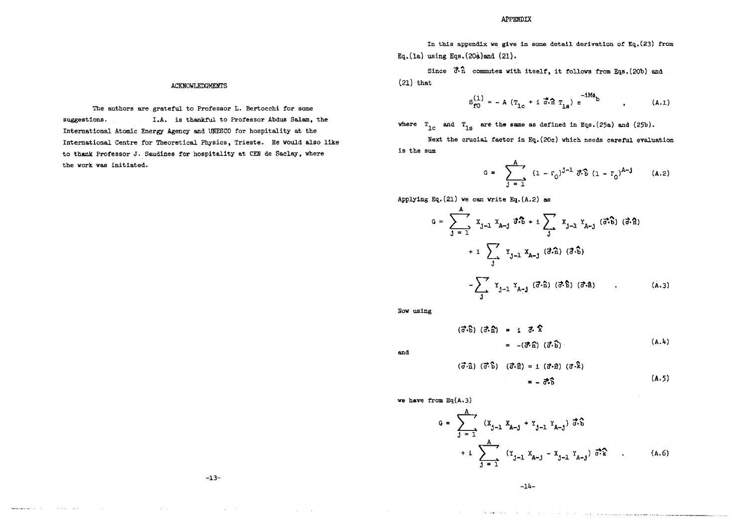## APFEHDIX

In this appendix we give in some detail derivation of Eq.  $(23)$  from Eq.(1a) using Eqs.(20 $\phi$ )and (21).

Since  $\vec{\sigma}$ n commutes with itself, it follows from Eqs.(20b) and (21) that

$$
S_{f0}^{(1)} = - A (T_{1c} + i \vec{\sigma} \cdot \hat{n} T_{1s}) e^{-iM\phi} b , \qquad (A.1)
$$

where  $T_{1c}$  and  $T_{1s}$  are the same as defined in Eqs.(25a) and (25b).

Next the crucial factor in Eq. (20c) which needs careful evaluation is the sum

$$
G = \sum_{j=1}^{A} (1 - r_0)^{j-1} \partial \hat{b} (1 - r_0)^{A-j}
$$
 (A.2)

Applying Eq.  $(21)$  we can write Eq.  $(A.2)$  as

$$
G = \sum_{j=1}^{A} x_{j-1} x_{A-j} d\hat{b} + i \sum_{j} x_{j-1} x_{A-j} (d\hat{b}) (d\hat{c})
$$
  
+ 
$$
i \sum_{j} x_{j-1} x_{A-j} (d\hat{c}) (d\hat{b})
$$
  
- 
$$
\sum_{j} x_{j-1} x_{A-j} (d\hat{c}) (d\hat{c}) (d\hat{c}). \qquad (A.3)
$$

How using

$$
(\vec{\sigma} \cdot \hat{B}) (\vec{\sigma} \cdot \hat{B}) = i \vec{\sigma} \cdot \hat{E}
$$
  
= -(\vec{\sigma} \cdot \hat{B}) (\vec{\sigma} \cdot \hat{B}) (2 \cdot \hat{B}) (A.4)

and

$$
(\vec{\sigma} \cdot \hat{n}) (\vec{\sigma} \cdot \hat{b}) (\vec{\sigma} \cdot \hat{n}) = 1 (\vec{\sigma} \cdot \hat{n}) (\vec{\sigma} \cdot \hat{k})
$$
\n
$$
= - \vec{\sigma} \cdot \hat{b}
$$
\n(A.5)

we have from  $Eq(A.3)$ 

$$
G = \sum_{j=1}^{A} (x_{j-1} x_{A-j} + x_{j-1} x_{A-j}) \vec{\sigma} \cdot \hat{\sigma}
$$
  
+ i 
$$
\sum_{j=1}^{A} (x_{j-1} x_{A-j} - x_{j-1} x_{A-j}) \vec{\sigma} \cdot \hat{\kappa}
$$
 (A.6)

# ACKNOWLEDGMENTS

The authors are grateful to Professor L. Bertocchi for some suggestions. I.A, is thankful to Professor Abdus Salam, the International Atomic Energy Agency ana UNESCO for hospitality at the International Centre for Theoretical Physics, Trieste. He would also like to thank Professor J. Saudines for hospitality at CEH de Saclay, where the work was initiated.

-13-

**Carl Corp.** 

**College** 

continued and state that the con-

contractors and

-Ik-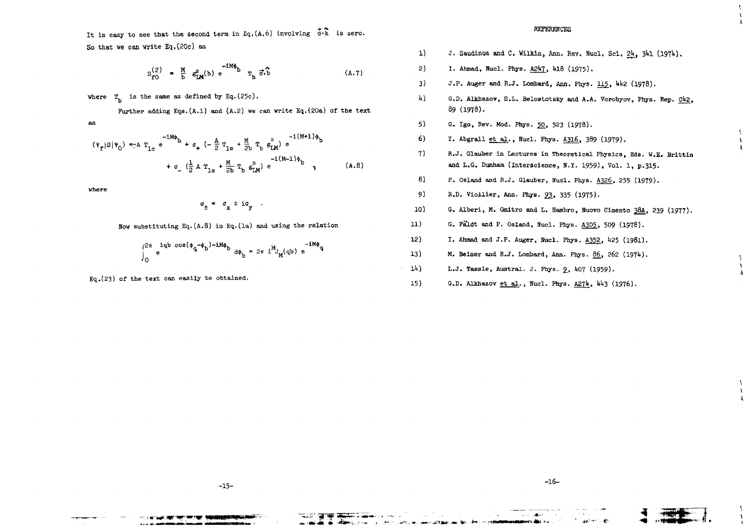It is easy to see that the second term in Eq.(A,6) involving  $\overrightarrow{\sigma}$ . is zero. So that we can vrite Eq,(2Qc) aa

$$
S_{f0}^{(2)} = \frac{M}{b} \epsilon_{LM}^{B}(b) e^{-\pi i M \phi} P_{D} \vec{\tau} \cdot \hat{b}
$$
 (A.7)

where  $T_{\rm b}$  is the same as defined by Eq. (25c).

Further adding Eqs.(A.1) and (A.2) we can write Eq.(20a) of the text

as.

$$
(\Psi_{\mathbf{f}} | \mathbf{s} | \Psi_{0}) = A \mathbf{T}_{1c} e^{-iM\phi_{b}} + \sigma_{+} (-\frac{A}{2} \mathbf{T}_{1s} + \frac{M}{2b} \mathbf{T}_{b} \mathbf{s}_{LM}^{s}) e^{-i(M+1)\phi_{b}}
$$
  
+  $\sigma_{-} (\frac{1}{2} A \mathbf{T}_{1s} + \frac{M}{2b} \mathbf{T}_{b} \mathbf{s}_{LM}^{s}) e^{-i(M-1)\phi_{b}}$  (A.8)

where

$$
\sigma_{\pm} = \sigma_x \pm i\sigma_y.
$$

Now substituting Eq.(A.8) in Eq.(la) and using the relation

$$
\int_{0}^{2\pi} e^{-i\Phi \cdot \cos(\phi_{q} - \phi_{b}) - iM\phi_{b}} d\phi_{b} = 2\pi i^{M} J_{M}(qb) e^{-iM\phi_{q}}
$$

Eq.(23) of the text can easily be obtained.

# **REFERENCES**

- 1) J. Saudinos and C. Wilkin, Ann. Rev. Nucl. Sci.  $24$ , 3 $41$  (1974).
- 2) I. Ahmad, Nucl. Phys. A247, 418 (1975).
- 3) J.P. Auger and R.J. Lombard, Ann. Phys. 115,  $h42$  (1978).
- 4) G.D. Alkhazov, S.L. Belostotsky and A.A. Vorobyov, Phys. Rep. C42. 89 (1978).
- 5) G. Igo, Rev. Mod. Phys. 50, 523 (1978).
- 6) Y. Abgrall et al., Nucl. Phys. A316, 389 (1979).
- 7) R.J. Glauber in Lectures in Theoretical Physics, Eds. W.E. Brittin and L.G. Dunham (Interscience, N.Y. 1959), Vol. 1, p.315.
- 8) P. Osland and R.J. Glauber, Nucl. Phys. A326, 255 (1979).
- 9) R.D. Viollier, Ann. Phys. 93, 335 (1975).
- 10} G. Alberi, M. Snitro and L. Hambro, Huovo Cimento 38A, 239 (1977).

-16-

- 11) G. Faldt and P. Osland, Nucl. Phys. A305, 509 (1978).
- 12) I. Ahmad and J.P. Auger, Nucl. Phys. A352, 425 (1981).
- 13) M. Beiner and R.J. Lombard, Ann. Phys. 86, 262 (1974).
- $14)$  L.J. Tassie, Austral. J. Phys. 9, 407 (1959).
- 15) G.D. Alkhazov et al., Nucl. Phys. A274,  $443$  (1976).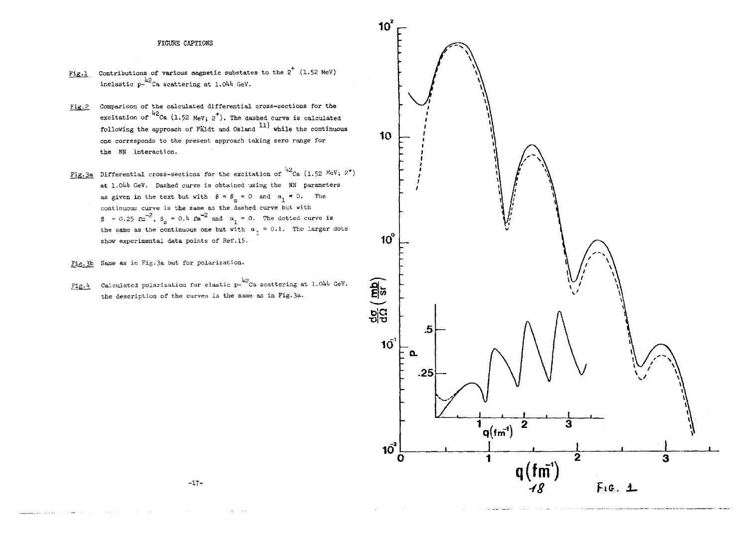# FIGURE CAPTIONS

- Flg.l Contributions of various magnetic substates to the *Z* .(1-52 MeV) inelastic  $p^{-h^2}$ Ca scattering at 1.044 GeV.
- Fig.2 Comparison of the calculated differential cross-sections for the excitation of  ${}^{72}$ Ca (1.52 MeV; 2<sup>7</sup>). The dashed curve is calculated following the approach of Faldt and Osland  $11$  while the continuous one corresponds to the present approach taking zero range for the HN interaction.
- Fig.3a Differential cross-sections for the excitation of  $^{42}$ Ca (1.52 MeV; 2 at 1.044 GeV. Dashed curve is obtained using the NN parameters as given in the text but with  $\beta = \beta$  = 0 and  $\alpha$  = 0. The continuous curve is the same as the dashed curve but with  $^{-2}$ ,  $\beta$  = 0.4 fm<sup>-2</sup> and  $\alpha$  = 0. The dotted curve is the same as the continuous one but with  $\alpha_{\gamma} = 0.1$ . The larger dots show experimental data points of Ref.15.
- Fig. 3b Same as in Fig. 3a but for polarization.
- Fig.4 Calculated polarization for elastic  $p-$ <sup>12</sup>Ca scattering at 1.044 GeV. the description of the curves is the same as in Fig.3a.

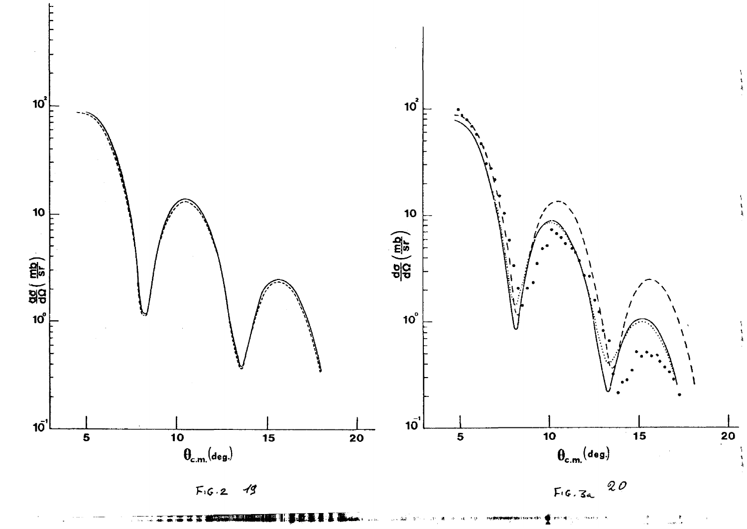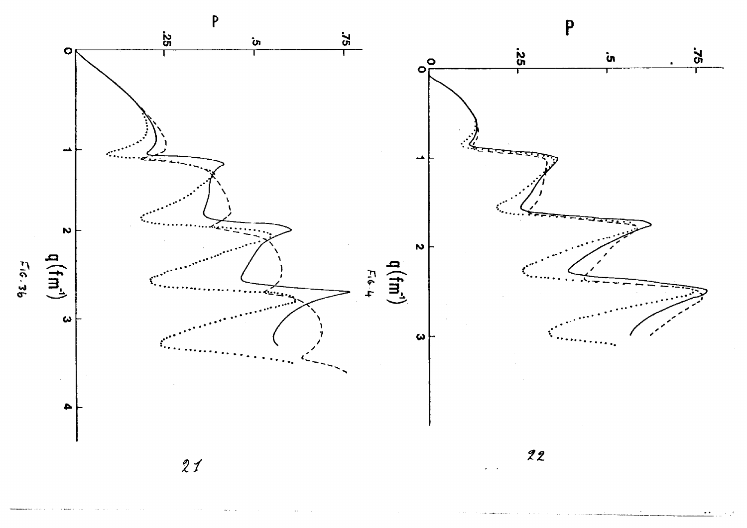

 $5.16.36$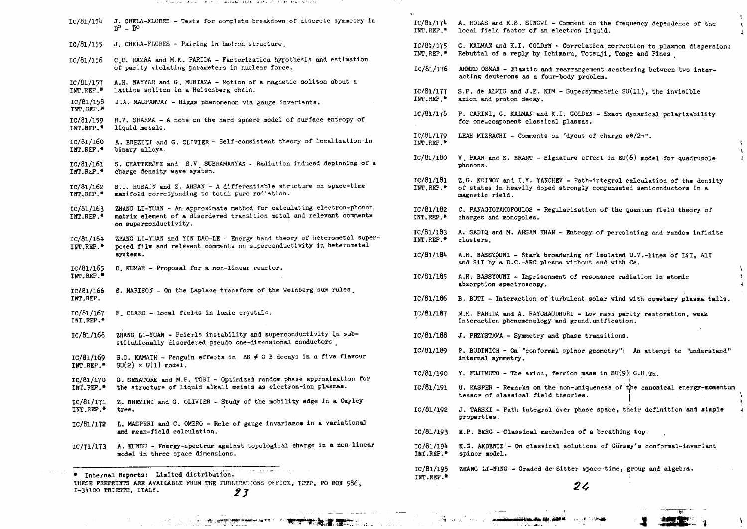والمؤدد والأناسة الأفال والمحارب والمواطن المعمولات المواطن والمساريات المتعاشر المستعلمات TC/81/154 J. CHELA-FLORES - Tests for complete breakdown of discrete symmetry in  $D^{\circ}$  -  $D^{\circ}$ IC/81/155 J, CHELA-FLOPES - Pairing in hadron structure, lC/81/156 C.C, HAZRA and M,K. PARIDA - Factorization hypothesis and estimation of parity violating parameters in nuclear force. A.H. NAYYAR and G. MURTAZA - Motion of a magnetic soliton about a IC/81/157 lattice soliton in a Heisenberg chain. INT.REP,\* IC/Bl/158 J.A. MAGPANTAY - Higgs phenomenon via gauge invariants. 1ST.REP.\* B.V. SHARMA - A note on the hard sphere model of surface entropy of ic/ai/159 IHT.REP.\* liquid metals. A. BREZISI and G. OLIVIER - Self-consistent theory of localization in IC/8I/I6O IHT.EEP.\* •binary alloys, S. CHATTERJES and S.V SUBRAHANYAN - Radiation induced depinning of a IC/81/161 1ST.REP.\* charge density wave system. IC/81/162 S.I. HUSAIN and Z. AHSAN - A differentiable structure on space-time IHT.REP.\* manifold corresponding to total pure radiation. ZHANG LI-YUAN - An approximate method for calculating electron-phonon IC/81/163 matrix element of a disordered transition metal and relevant comments INT.REP.\* on superconductivity. ZHANG LI-YUAN and YIN DAO-LE - Energy band theory of neterometal super-IC/81/16!\* posed film and relevant comments on superconductivity in heterometal INT.REP.\* systems. IC/81/165 D. KUMAR - Proposal for a non-linear reactor. INT.REP.\* IC/Sl/166 S. NARISON - On the Laplace transform of the Weinberg sum rules. INT.REP. IC/8l/l67 F. CLARO - Local fields in ionic crystals. INT.REP.\* ZHANG LI-YUAN - Peierls instability and superconductivity in sub-IC/81/168 stitutionally disordered pseudo one-dimensional conductors \_ IC/81/169 S.G. KAMATH - Penguin effects in AS *f* 0 B decays in a five flavour INT.REP.<sup>\*</sup>  $SU(2) \times U(1)$  model. IC/81/I7O G. SENATORE and M.P. TOSI - Optimized random phase approximation for INT.REP.\* the structure of liquid alkali metals as electron-ion plasmas. IC/81/171 Z. BREZINI and G. OLIVIER - Study of the mobility edge in a Cayley INT.REP.\* tree. IC/81/172 L. MASPERI and C. OMERO - Role of gauge invariance in a variational and mean-field calculation. IC/71/173 A. KUNDU - Energy-spectrum against topological charge in a non-linear model in three space dimensions.  $\alpha = 1$  and  $\alpha = 1$  , and  $\alpha = 1$ • Internal Reports: Limited distribution.

THESE PREPRINTS ARE AVAILABLE FROM THE PUBLICATIONS OFFICE, ICTP, PO BOX 586,

 $1-34100$  TRIESTE, ITALY.  $23$ 

IC/8I/I7U A. HOLAS and K.S. SINCWI - Comment on the frequency dependence of the INT.REP.\* local field factor of an electron liquid.  $IC/81/175$  G. KALMAN and K.I. GOLDEN - Correlation correction to plasmon dispersion:<br>INT.REP.<sup>#</sup> Rebuttal of a reply by Ichimaru. Totsuii. Tange and Pines Rebuttal of a reply by Ichimaru, Totsuji, Tange and Pines IC/81/176 AHMED OSMAN - Elastic and rearrangement scattering between two interacting deuterons as a four-body problem. IC/81/177 S.P. de ALWIS and J.E. KIM - Supersymmetric SU(11), the invisible INT.REP.\* axion and proton decay. axion and proton decay. IC/81/178 P. CARIKI, G. KALMAN and K.I. GOLDEN - Exact dynamical polarIzability for one-component classical plasmas.  $IC/81/179$  LEAH MIZRACHI - Comments on 'dyons of charge e $\theta/2\pi$ ". INT.REP.\*  $IC/81/180$  V. PAAR and S. BRANT - Signature effect in SU(6) model for quadrupole pbonons.  $IC/81/181$  Z.G. KOINOV and I.Y. YANCHEV - Path-integral calculation of the density INT.REP.<sup>\*</sup> of states in heavily doped strongly compensated semiconductors in a of states in heavily doped strongly compensated semiconductors in a magnetic rield.  $IC/81/182$  C. PANAGIOTAKOPOULOS - Regularization of the quantum field theory of INT.REP.<sup>\*</sup> charges and monopoles. charges and monopoles.  $IC/81/183$  A. SADIQ and M. AHSAN KHAN - Entropy of percolating and random infinite INT.REP.\* clusters.  $INT.$  REP.  $*$ IC/Sl/181\* A.H. BASSYOUNI - Stark broadening of isolated U.V.-lines of Lil, All and SII by a D.C.-ARC plasma without and with Cs, IC/8I/I85 A.R. BASSYOUSI - Imprisonment of resonance radiation in atomic absorption spectroscopy. IC/81/186 B. BUTI - Interaction of turbulent solar wind with cometary plasma tails, IC/81/187 M.K. PARIDA and A. RAYCHAUDHURI - Low mass parity restoration, veak ' interaction phenomenology and grand,unification. IC/81/188 J. PRZYSTAWA - Symmetry and phase transitions. IC/81/189 P. BUDINICH - On'"conformal spinor geometry": An attempt to 'Understand" internal symmetry.  $IC/81/190$  Y. FUJIMOTO - The axion, fermion mass in SU(9) G.U.Th.  $IC/81/191$  U. KASPER - Remarks on the non-uniqueness of the canonical energy-momentum tensor of classical field theories. 1 **!** IC/81/192 J. TARSKI - Path integral over phase space, their definition and simple properties. IC/81/193 H.P. BERG - Classical mechanics of a breathing top. **IC/81/19U INT.REP.\* IC/Bl/195 IBT.REP-\*** K.G. AKDENIZ - On classical solutions of Gursey'a conformal-invarlant spinor model. ZHANG LI-NING - Graded de-Sitter space-time, group and algebra.

24

تعارض بزرد بياد بجادات وتناهد الحرابين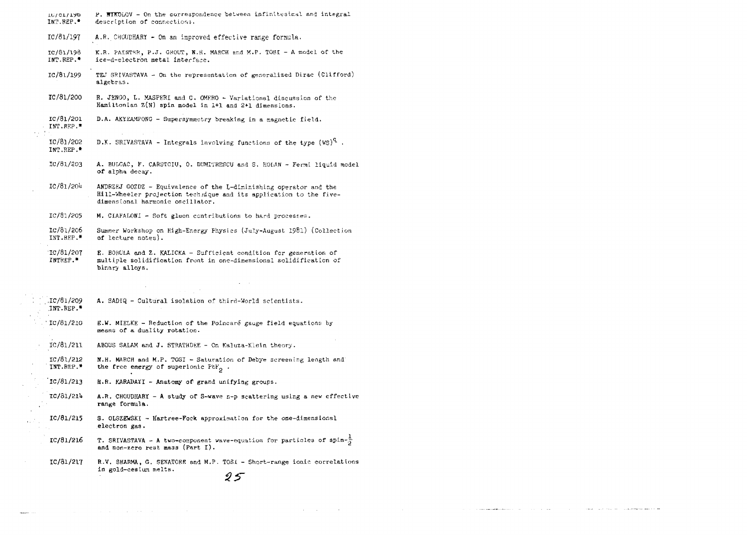| TC/01/190<br>INT.REP. <sup>*</sup> | P. WIKOLOV - On the correspondence between infinitesimal and integral<br>description of connections.                                                                        |
|------------------------------------|-----------------------------------------------------------------------------------------------------------------------------------------------------------------------------|
| IC/81/197                          | A.R. CHOUDHARY - On an improved effective range formula.                                                                                                                    |
| IC/81/198<br>INT.REP. <sup>*</sup> | K.R. PAINTER, P.J. GROUT, N.H. MARCH and M.P. TOSI - A model of the<br>ice-d-electron metal interface.                                                                      |
| IC/81/199                          | TEJ SRIVASTAVA - On the representation of generalized Dirac (Clifford)<br>algebras.                                                                                         |
| IC/81/200                          | R. JENGO, L. MASPERI and C. OMERO - Variational discussion of the<br>Hamiltonian Z(N) spin model in 1+1 and 2+1 dimensions.                                                 |
| IC/81/201<br>INT.REP."             | D.A. AKYEAMPONG - Supersymmetry breaking in a magnetic field.                                                                                                               |
| IC/81/202<br>INT.REP. <sup>*</sup> | D.K. SRIVASTAVA - Integrals involving functions of the type $(WS)^{Q}$ .                                                                                                    |
| IC/81/203                          | A. BULGAC, F. CARSTOIU, O. DUMITRESCU and S. HOLAN - Fermi liquid model<br>of alpha decay.                                                                                  |
| IC/81/204                          | ANDRZEJ GOZDZ - Equivalence of the L-diminishing operator and the<br>Hill-Wheeler projection technique and its application to the five-<br>dimensional harmonic oscillator. |
| IC/81/205                          | M. CIAFALONI - Soft gluon contributions to hard processes.                                                                                                                  |
| IC/81/206<br>INT.REP. <sup>*</sup> | Summer Workshop on High-Energy Physics (July-August 1981) (Collection<br>of lecture notes).                                                                                 |
| IC/81/207<br>INTREP. <sup>*</sup>  | E. BOBULA and Z. KALICKA - Sufficient condition for generation of<br>multiple solidification front in one-dimensional solidification of<br>binary alloys.                   |
|                                    |                                                                                                                                                                             |
| IC/81/209<br>INT.REP.*             | A. SADIQ - Cultural isolation of third-World scientists.                                                                                                                    |
| IC/81/210                          | E.W. MIELKE - Reduction of the Poincaré gauge field equations by<br>means of a duality rotation.                                                                            |
| IC/81/211                          | ABDUS SALAM and J. STRATHDEE - On Kaluza-Klein theory.                                                                                                                      |
| IC/81/212<br>INT.REP.*             | N.H. MARCH and M.P. TOSI - Saturation of Debye screening length and<br>the free energy of superionic PoF <sub>o</sub> .                                                     |
| IC/81/213                          | H.R. KARADAYI - Anatomy of grand unifying groups.                                                                                                                           |
| IC/81/214                          | A.R. CHOUDHARY - A study of S-wave n-p scattering using a new effective<br>range formula.                                                                                   |
| IC/81/215                          | S. OLSZEWSKI - Hartree-Fock approximation for the one-dimensional<br>electron gas.                                                                                          |
| IC/81/216                          | <b>T.</b> SRIVASTAVA - A two-component wave-equation for particles of spin- $\frac{1}{2}$<br>and non-zero rest mass (Part I).                                               |
| IC/81/217                          | R.V. SHARMA, G. SENATORE and M.P. TOSI - Short-range ionic correlations<br>in gold-cesium melts.<br>25                                                                      |

. The second constraint is a set of the second constraint of the second constraint  $\mathcal{L}^{\mathcal{L}}$ 

and the component of the contract of the component of the contract of the component of the component of the contract of the contract of the contract of the contract of the contract of the contract of the contract of the co

 $\mathcal{F}_{\mathcal{L}}^{\mathcal{L}}$ 

 $\sim$ 

 $\sim$  and  $\sim$